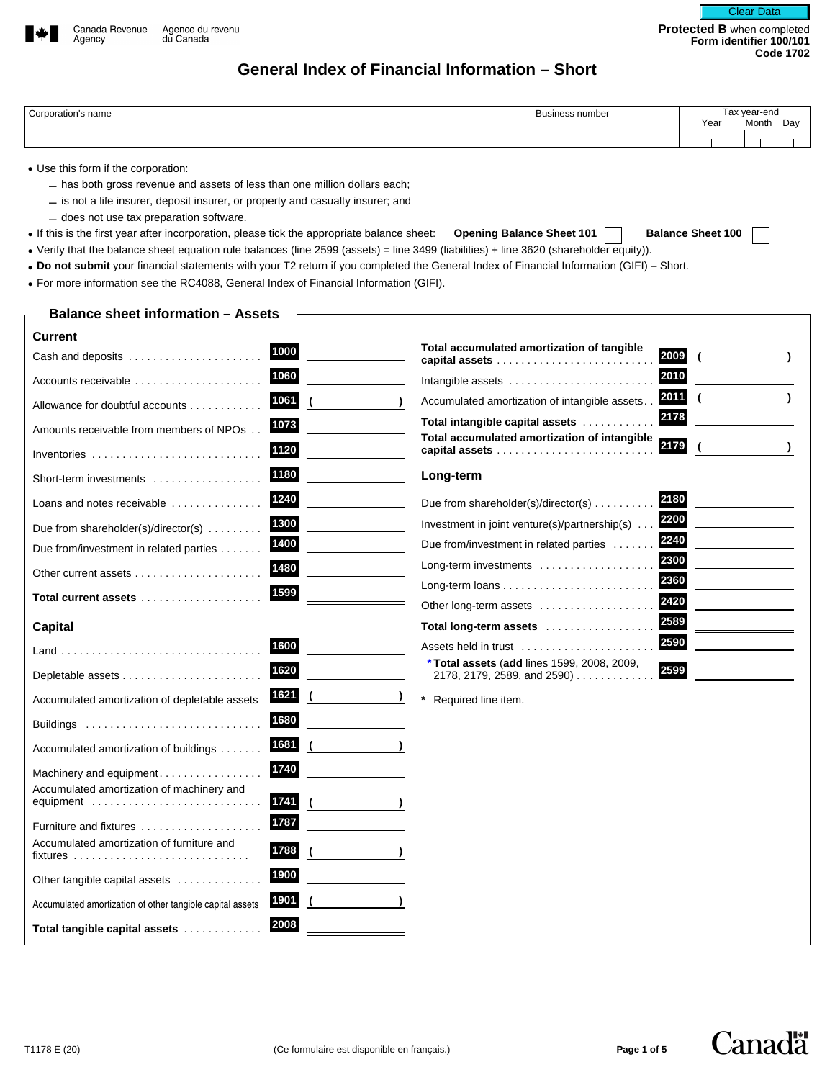

# **General Index of Financial Information – Short**

| 'ornorotion's<br>; name | ⊿usiness number | Tax year-end |              |
|-------------------------|-----------------|--------------|--------------|
|                         |                 | Year<br>.    | Day<br>Month |
|                         |                 |              |              |

- Use this form if the corporation:
	- has both gross revenue and assets of less than one million dollars each;
	- is not a life insurer, deposit insurer, or property and casualty insurer; and
	- does not use tax preparation software.
- If this is the first year after incorporation, please tick the appropriate balance sheet: **Opening Balance Sheet 101 Balance Sheet 100**
- Verify that the balance sheet equation rule balances (line 2599 (assets) = line 3499 (liabilities) + line 3620 (shareholder equity)).
- **Do not submit** your financial statements with your T2 return if you completed the General Index of Financial Information (GIFI) Short.
- For more information see the RC4088, General Index of Financial Information (GIFI).

## **Balance sheet information – Assets**

| <b>Current</b>                                                                                                  |        |                          |                                                                                      |
|-----------------------------------------------------------------------------------------------------------------|--------|--------------------------|--------------------------------------------------------------------------------------|
| Cash and deposits                                                                                               | 1000   |                          | Total accumulated amortization of tangible<br>2009                                   |
| Accounts receivable                                                                                             | 1060   |                          | 2010<br>Intangible assets                                                            |
| Allowance for doubtful accounts                                                                                 | 1061   | $\overline{\mathcal{L}}$ | 2011<br>Accumulated amortization of intangible assets.                               |
| Amounts receivable from members of NPOs                                                                         | 1073   |                          | 2178<br>Total intangible capital assets                                              |
| Inventories $\ldots \ldots \ldots \ldots \ldots \ldots$                                                         | 1120   |                          | Total accumulated amortization of intangible<br>2179<br>capital assets               |
| Short-term investments                                                                                          | 1180   |                          | Long-term                                                                            |
| Loans and notes receivable                                                                                      | 1240   |                          | 2180<br>Due from shareholder(s)/director(s) $\ldots \ldots$                          |
| Due from shareholder(s)/director(s) $\dots\dots$                                                                | 1300   |                          | 2200<br>Investment in joint venture(s)/partnership(s)                                |
| Due from/investment in related parties                                                                          | 1400   |                          | 2240<br>Due from/investment in related parties                                       |
|                                                                                                                 | 1480   |                          | 2300<br>Long-term investments<br>2360                                                |
| Total current assets                                                                                            | 1599   |                          | 2420                                                                                 |
|                                                                                                                 |        |                          | Other long-term assets<br>2589                                                       |
| <b>Capital</b>                                                                                                  |        |                          | Total long-term assets<br>2590                                                       |
|                                                                                                                 | 1600   |                          | Assets held in trust                                                                 |
|                                                                                                                 | 1620   |                          | $*$ Total assets (add lines 1599, 2008, 2009,<br>2599<br>2178, 2179, 2589, and 2590) |
| Accumulated amortization of depletable assets                                                                   | 1621 ( |                          | Required line item.                                                                  |
|                                                                                                                 | 1680   |                          |                                                                                      |
| Accumulated amortization of buildings                                                                           | 1681   | $\overline{\mathcal{L}}$ |                                                                                      |
| Machinery and equipment                                                                                         | 1740   |                          |                                                                                      |
| Accumulated amortization of machinery and<br>equipment                                                          | 1741   |                          |                                                                                      |
| Furniture and fixtures                                                                                          | 1787   |                          |                                                                                      |
| Accumulated amortization of furniture and<br>$fixtures \ldots \ldots \ldots \ldots \ldots \ldots \ldots \ldots$ | 1788   |                          |                                                                                      |
| Other tangible capital assets                                                                                   | 1900   |                          |                                                                                      |
| Accumulated amortization of other tangible capital assets                                                       | 1901   |                          |                                                                                      |
| Total tangible capital assets                                                                                   | 2008   |                          |                                                                                      |



**Canadä**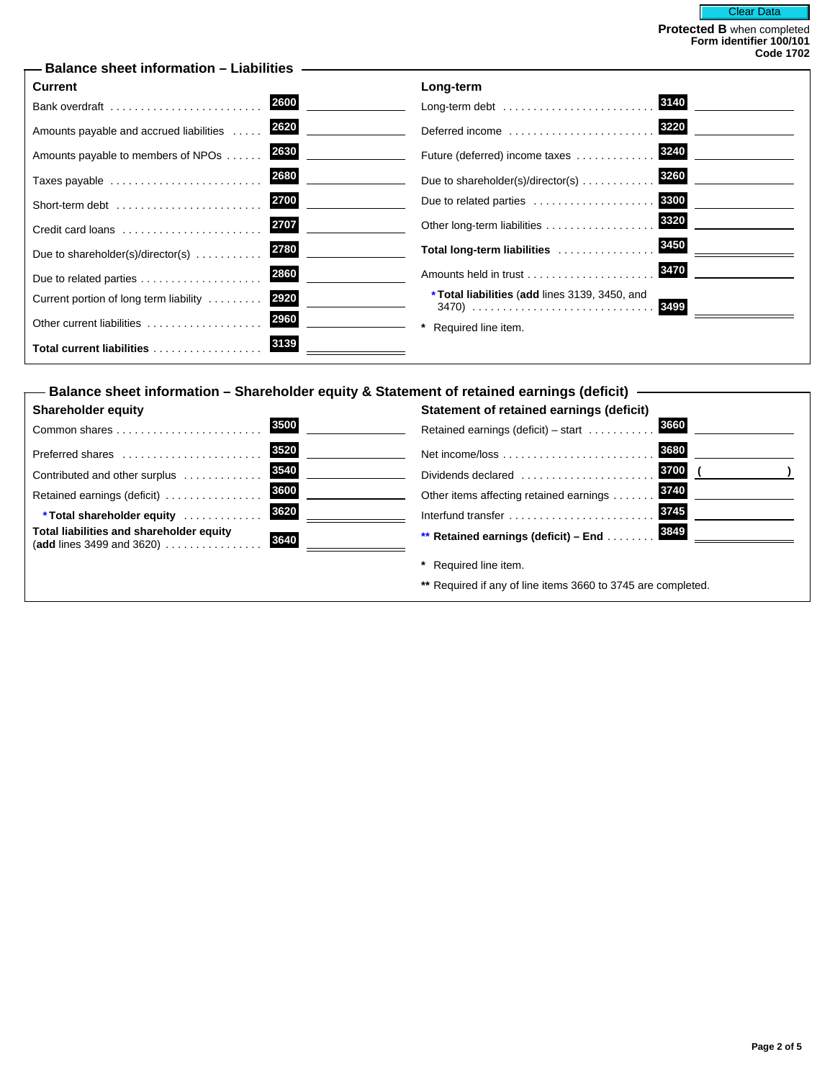| <b>Current</b>                                           | Long-term                                                        |
|----------------------------------------------------------|------------------------------------------------------------------|
| 2600                                                     | 3140                                                             |
| Bank overdraft                                           | Long-term debt                                                   |
| 2620                                                     | 3220                                                             |
| Amounts payable and accrued liabilities                  | Deferred income $\ldots, \ldots, \ldots, \ldots, \ldots, \ldots$ |
| 2630                                                     | 3240                                                             |
| Amounts payable to members of NPOs                       | Future (deferred) income taxes                                   |
| 2680                                                     | 3260                                                             |
| Taxes payable                                            | Due to shareholder(s)/director(s) $\ldots \ldots \ldots$         |
| 2700                                                     | 3300                                                             |
| Short-term debt                                          | Due to related parties                                           |
| 2707                                                     | 3320                                                             |
| Credit card loans                                        | Other long-term liabilities                                      |
| 2780                                                     | 3450                                                             |
| Due to shareholder(s)/director(s) $\ldots \ldots \ldots$ | Total long-term liabilities                                      |
| 2860                                                     | 3470                                                             |
|                                                          |                                                                  |
| 2920<br>Current portion of long term liability           | *Total liabilities (add lines 3139, 3450, and<br>3499            |
| 2960<br>Other current liabilities                        | Required line item.                                              |
| 3139<br>Total current liabilities                        |                                                                  |

| – Balance sheet information – Shareholder equity & Statement of retained earnings (deficit) |                                                              |  |  |
|---------------------------------------------------------------------------------------------|--------------------------------------------------------------|--|--|
| <b>Shareholder equity</b>                                                                   | Statement of retained earnings (deficit)                     |  |  |
| 3500                                                                                        | 3660                                                         |  |  |
|                                                                                             | Retained earnings (deficit) – start $\dots\dots\dots$        |  |  |
| 3520                                                                                        | 3680                                                         |  |  |
| Preferred shares                                                                            |                                                              |  |  |
| 3540                                                                                        | 3700                                                         |  |  |
| Contributed and other surplus                                                               | Dividends declared                                           |  |  |
| 3600                                                                                        | 3740                                                         |  |  |
| Retained earnings (deficit)                                                                 | Other items affecting retained earnings                      |  |  |
| 3620                                                                                        | 3745                                                         |  |  |
| *Total shareholder equity                                                                   | Interfund transfer                                           |  |  |
| Total liabilities and shareholder equity                                                    | 3849                                                         |  |  |
|                                                                                             | ** Retained earnings (deficit) - End                         |  |  |
|                                                                                             | Required line item.                                          |  |  |
|                                                                                             | ** Required if any of line items 3660 to 3745 are completed. |  |  |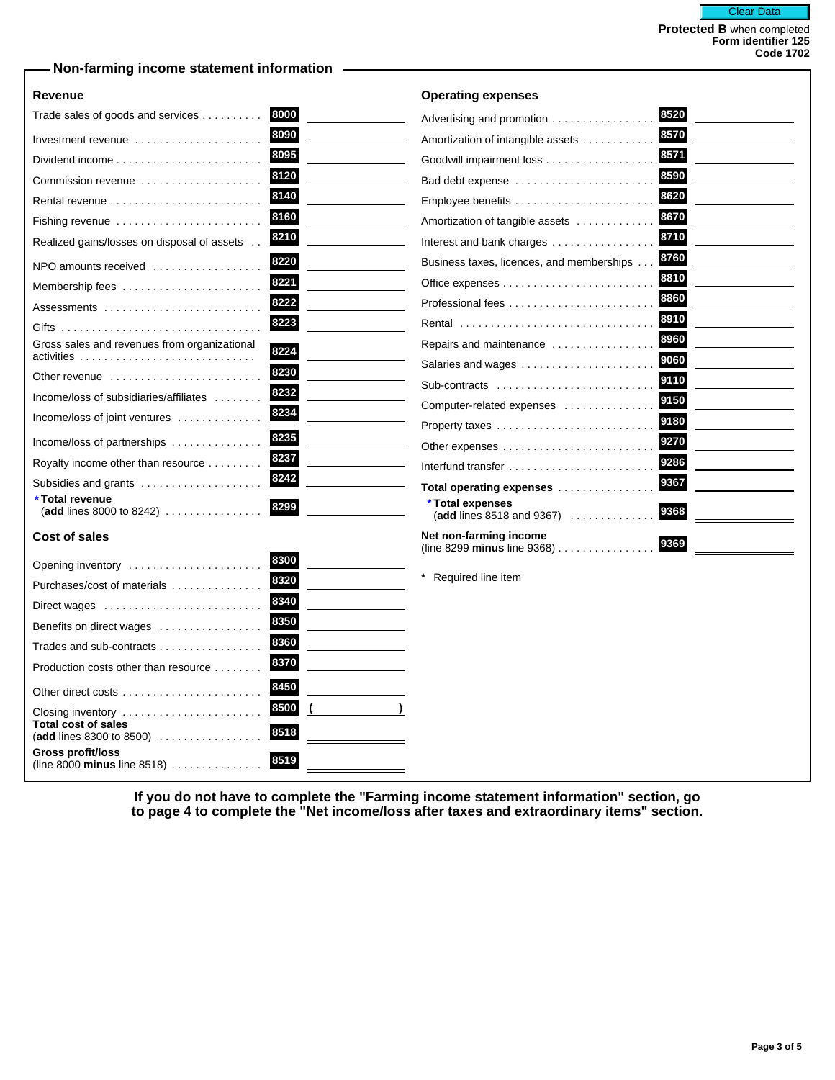## **Non-farming income statement information**

### **Revenue**

|  | Operating expenses |
|--|--------------------|
|  |                    |

| Trade sales of goods and services                                        | 8000 | Advertising and promotion                                      | 8520 |
|--------------------------------------------------------------------------|------|----------------------------------------------------------------|------|
| Investment revenue $\ldots \ldots \ldots \ldots \ldots$                  | 8090 | Amortization of intangible assets                              | 8570 |
| Dividend income                                                          | 8095 | Goodwill impairment loss                                       | 8571 |
| Commission revenue                                                       | 8120 | Bad debt expense                                               | 8590 |
|                                                                          | 8140 |                                                                | 8620 |
| Fishing revenue                                                          | 8160 | Amortization of tangible assets                                | 8670 |
| Realized gains/losses on disposal of assets                              | 8210 | Interest and bank charges                                      | 8710 |
| NPO amounts received                                                     | 8220 | Business taxes, licences, and memberships                      | 8760 |
|                                                                          | 8221 |                                                                | 8810 |
| Assessments                                                              | 8222 | Professional fees                                              | 8860 |
|                                                                          | 8223 | Rental                                                         | 8910 |
| Gross sales and revenues from organizational                             | 8224 | Repairs and maintenance                                        | 8960 |
|                                                                          |      | Salaries and wages                                             | 9060 |
| Other revenue $\ldots, \ldots, \ldots, \ldots, \ldots, \ldots$           | 8230 | Sub-contracts                                                  | 9110 |
| Income/loss of subsidiaries/affiliates                                   | 8232 | Computer-related expenses                                      | 9150 |
| Income/loss of joint ventures                                            | 8234 |                                                                | 9180 |
| Income/loss of partnerships                                              | 8235 |                                                                | 9270 |
| Royalty income other than resource                                       | 8237 | Interfund transfer                                             | 9286 |
| Subsidies and grants                                                     | 8242 | Total operating expenses                                       | 9367 |
| *Total revenue<br>(add lines 8000 to 8242) $\ldots \ldots \ldots \ldots$ | 8299 | * Total expenses                                               | 9368 |
|                                                                          |      | (add lines 8518 and 9367) $\ldots \ldots \ldots$               |      |
| <b>Cost of sales</b>                                                     |      | Net non-farming income<br>(line 8299 minus line 9368) $\ldots$ | 9369 |

| Opening inventory                                         | 8300         |
|-----------------------------------------------------------|--------------|
| Purchases/cost of materials                               | 8320         |
| Direct wages                                              | 8340         |
| Benefits on direct wages                                  | 8350         |
| Trades and sub-contracts                                  | 8360         |
| Production costs other than resource                      | 8370         |
|                                                           | 8450         |
| Closing inventory<br><b>Total cost of sales</b>           | 8500<br>8518 |
| (add lines 8300 to 8500)                                  |              |
| Gross profit/loss<br>(line 8000 minus line 8518) $\ldots$ | 8519         |

**\*** Required line item

**If you do not have to complete the "Farming income statement information" section, go to page 4 to complete the "Net income/loss after taxes and extraordinary items" section.**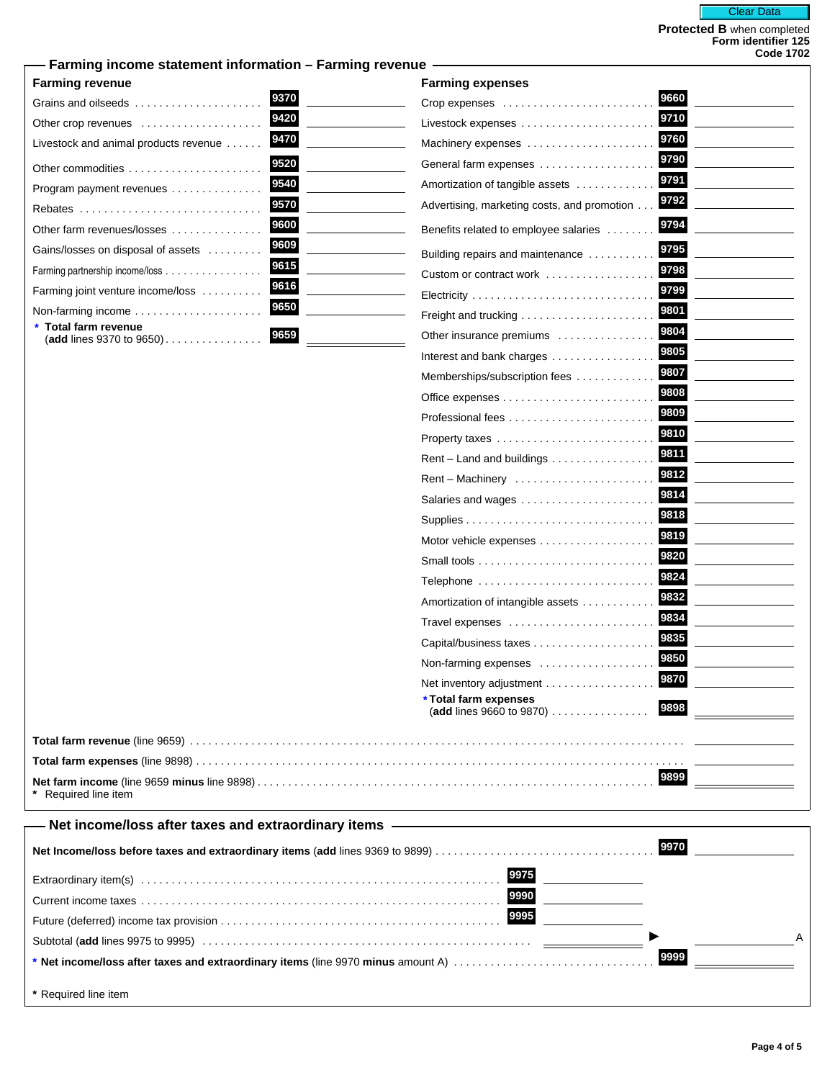## **Farming income statement information – Farming revenue**

## **Farming revenue**

| Grains and oilseeds                               | 9370 |
|---------------------------------------------------|------|
| Other crop revenues                               | 9420 |
| Livestock and animal products revenue             | 9470 |
| Other commodities                                 | 9520 |
| Program payment revenues                          | 9540 |
| Rebates                                           | 9570 |
| Other farm revenues/losses                        | 9600 |
| Gains/losses on disposal of assets                | 9609 |
| Farming partnership income/loss                   | 9615 |
| Farming joint venture income/loss                 | 9616 |
| Non-farming income                                | 9650 |
| * Total farm revenue<br>(add lines 9370 to 9650). | 9659 |

| <b>Farming revenue</b>                                 | <b>Farming expenses</b>                                  |
|--------------------------------------------------------|----------------------------------------------------------|
| 9370<br>Grains and oilseeds                            | 9660<br>Crop expenses                                    |
| 9420<br>Other crop revenues                            | 9710                                                     |
| 9470<br>Livestock and animal products revenue          | 9760<br>Machinery expenses                               |
| 9520<br>Other commodities                              | 9790<br>General farm expenses                            |
| 9540<br>Program payment revenues                       | 9791<br>Amortization of tangible assets                  |
| 9570<br>Rebates                                        | 9792<br>Advertising, marketing costs, and promotion      |
| 9600<br>Other farm revenues/losses                     | 9794<br>Benefits related to employee salaries            |
| 9609<br>Gains/losses on disposal of assets             | 9795<br>Building repairs and maintenance                 |
| 9615<br>Farming partnership income/loss                | 9798<br>Custom or contract work                          |
| 9616<br>Farming joint venture income/loss              | 9799                                                     |
| 9650                                                   | 9801                                                     |
| Total farm revenue<br>9659<br>(add lines 9370 to 9650) | 9804<br>Other insurance premiums                         |
|                                                        | 9805<br>Interest and bank charges                        |
|                                                        | 9807<br>Memberships/subscription fees                    |
|                                                        | 9808                                                     |
|                                                        | 9809                                                     |
|                                                        | 9810<br>Property taxes                                   |
|                                                        | 9811<br>Rent – Land and buildings                        |
|                                                        | 9812<br>Rent – Machinery                                 |
|                                                        | 9814<br>Salaries and wages                               |
|                                                        | 9818                                                     |
|                                                        | 9819<br>Motor vehicle expenses                           |
|                                                        | 9820                                                     |
|                                                        | 9824<br>Telephone                                        |
|                                                        | 9832<br>Amortization of intangible assets                |
|                                                        | 9834<br>Travel expenses                                  |
|                                                        | 9835<br>Capital/business taxes                           |
|                                                        | 9850<br>Non-farming expenses                             |
|                                                        | 9870<br>Net inventory adjustment                         |
|                                                        | *Total farm expenses<br>9898<br>(add lines 9660 to 9870) |
|                                                        |                                                          |
|                                                        |                                                          |
|                                                        | 9899                                                     |
| * Required line item                                   |                                                          |

# **Net income/loss after taxes and extraordinary items**

**\*** Required line item

|                      | A |
|----------------------|---|
|                      |   |
| * Required line item |   |